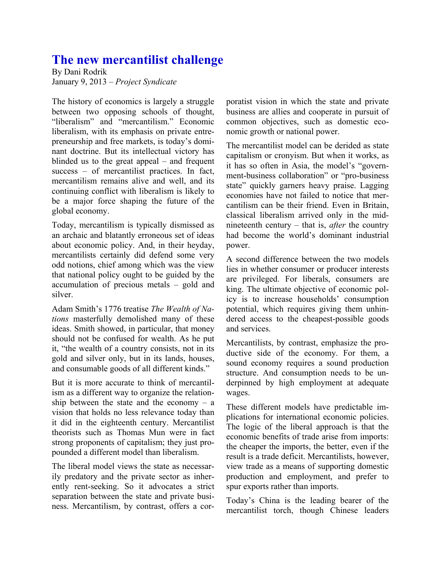## **The new mercantilist challenge**

By Dani Rodrik January 9, 2013 – *Project Syndicate*

The history of economics is largely a struggle between two opposing schools of thought, "liberalism" and "mercantilism." Economic liberalism, with its emphasis on private entrepreneurship and free markets, is today's dominant doctrine. But its intellectual victory has blinded us to the great appeal – and frequent success – of mercantilist practices. In fact, mercantilism remains alive and well, and its continuing conflict with liberalism is likely to be a major force shaping the future of the global economy.

Today, mercantilism is typically dismissed as an archaic and blatantly erroneous set of ideas about economic policy. And, in their heyday, mercantilists certainly did defend some very odd notions, chief among which was the view that national policy ought to be guided by the accumulation of precious metals – gold and silver.

Adam Smith's 1776 treatise *The Wealth of Nations* masterfully demolished many of these ideas. Smith showed, in particular, that money should not be confused for wealth. As he put it, "the wealth of a country consists, not in its gold and silver only, but in its lands, houses, and consumable goods of all different kinds."

But it is more accurate to think of mercantilism as a different way to organize the relationship between the state and the economy  $-$  a vision that holds no less relevance today than it did in the eighteenth century. Mercantilist theorists such as Thomas Mun were in fact strong proponents of capitalism; they just propounded a different model than liberalism.

The liberal model views the state as necessarily predatory and the private sector as inherently rent-seeking. So it advocates a strict separation between the state and private business. Mercantilism, by contrast, offers a corporatist vision in which the state and private business are allies and cooperate in pursuit of common objectives, such as domestic economic growth or national power.

The mercantilist model can be derided as state capitalism or cronyism. But when it works, as it has so often in Asia, the model's "government-business collaboration" or "pro-business state" quickly garners heavy praise. Lagging economies have not failed to notice that mercantilism can be their friend. Even in Britain, classical liberalism arrived only in the midnineteenth century – that is, *after* the country had become the world's dominant industrial power.

A second difference between the two models lies in whether consumer or producer interests are privileged. For liberals, consumers are king. The ultimate objective of economic policy is to increase households' consumption potential, which requires giving them unhindered access to the cheapest-possible goods and services.

Mercantilists, by contrast, emphasize the productive side of the economy. For them, a sound economy requires a sound production structure. And consumption needs to be underpinned by high employment at adequate wages.

These different models have predictable implications for international economic policies. The logic of the liberal approach is that the economic benefits of trade arise from imports: the cheaper the imports, the better, even if the result is a trade deficit. Mercantilists, however, view trade as a means of supporting domestic production and employment, and prefer to spur exports rather than imports.

Today's China is the leading bearer of the mercantilist torch, though Chinese leaders